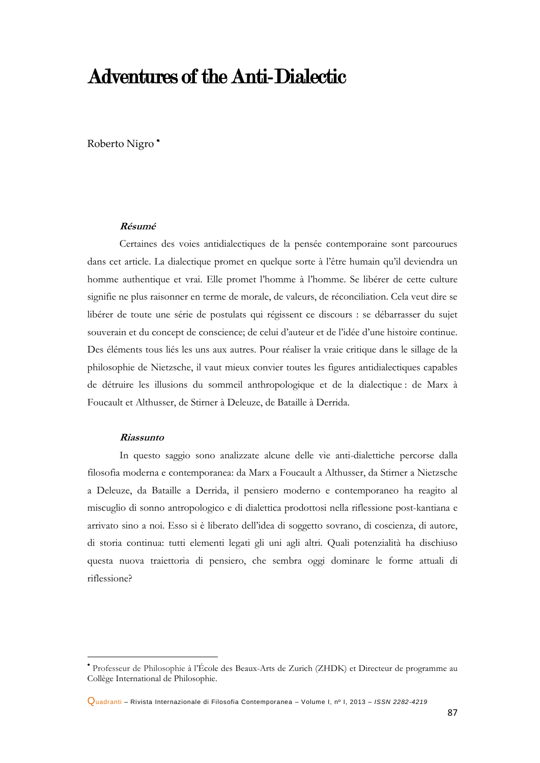## Adventures of the Anti-Dialectic

Roberto Nigro

## **Résumé**

Certaines des voies antidialectiques de la pensée contemporaine sont parcourues dans cet article. La dialectique promet en quelque sorte à l'être humain qu'il deviendra un homme authentique et vrai. Elle promet l'homme à l'homme. Se libérer de cette culture signifie ne plus raisonner en terme de morale, de valeurs, de réconciliation. Cela veut dire se libérer de toute une série de postulats qui régissent ce discours : se débarrasser du sujet souverain et du concept de conscience; de celui d'auteur et de l'idée d'une histoire continue. Des éléments tous liés les uns aux autres. Pour réaliser la vraie critique dans le sillage de la philosophie de Nietzsche, il vaut mieux convier toutes les figures antidialectiques capables de détruire les illusions du sommeil anthropologique et de la dialectique : de Marx à Foucault et Althusser, de Stirner à Deleuze, de Bataille à Derrida.

## **Riassunto**

**.** 

In questo saggio sono analizzate alcune delle vie anti-dialettiche percorse dalla filosofia moderna e contemporanea: da Marx a Foucault a Althusser, da Stirner a Nietzsche a Deleuze, da Bataille a Derrida, il pensiero moderno e contemporaneo ha reagito al miscuglio di sonno antropologico e di dialettica prodottosi nella riflessione post-kantiana e arrivato sino a noi. Esso si è liberato dell'idea di soggetto sovrano, di coscienza, di autore, di storia continua: tutti elementi legati gli uni agli altri. Quali potenzialità ha dischiuso questa nuova traiettoria di pensiero, che sembra oggi dominare le forme attuali di riflessione?

Professeur de Philosophie à l'École des Beaux-Arts de Zurich (ZHDK) et Directeur de programme au Collège International de Philosophie.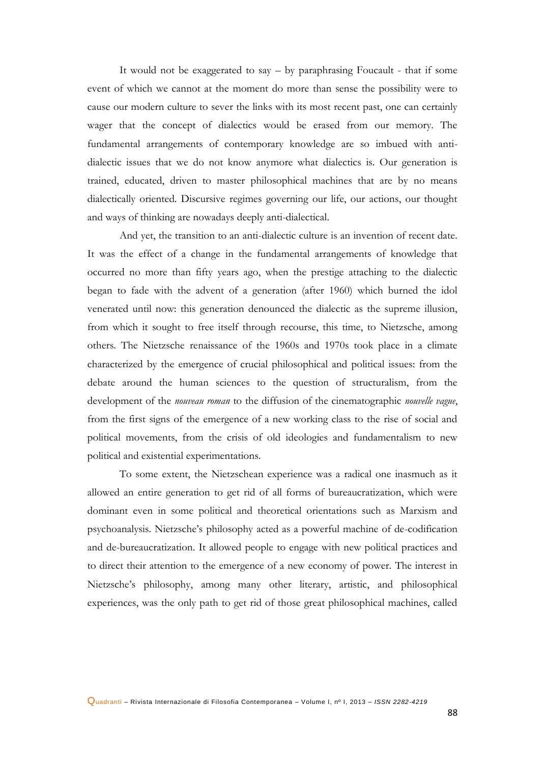It would not be exaggerated to say – by paraphrasing Foucault - that if some event of which we cannot at the moment do more than sense the possibility were to cause our modern culture to sever the links with its most recent past, one can certainly wager that the concept of dialectics would be erased from our memory. The fundamental arrangements of contemporary knowledge are so imbued with antidialectic issues that we do not know anymore what dialectics is. Our generation is trained, educated, driven to master philosophical machines that are by no means dialectically oriented. Discursive regimes governing our life, our actions, our thought and ways of thinking are nowadays deeply anti-dialectical.

And yet, the transition to an anti-dialectic culture is an invention of recent date. It was the effect of a change in the fundamental arrangements of knowledge that occurred no more than fifty years ago, when the prestige attaching to the dialectic began to fade with the advent of a generation (after 1960) which burned the idol venerated until now: this generation denounced the dialectic as the supreme illusion, from which it sought to free itself through recourse, this time, to Nietzsche, among others. The Nietzsche renaissance of the 1960s and 1970s took place in a climate characterized by the emergence of crucial philosophical and political issues: from the debate around the human sciences to the question of structuralism, from the development of the *nouveau roman* to the diffusion of the cinematographic *nouvelle vague*, from the first signs of the emergence of a new working class to the rise of social and political movements, from the crisis of old ideologies and fundamentalism to new political and existential experimentations.

To some extent, the Nietzschean experience was a radical one inasmuch as it allowed an entire generation to get rid of all forms of bureaucratization, which were dominant even in some political and theoretical orientations such as Marxism and psychoanalysis. Nietzsche's philosophy acted as a powerful machine of de-codification and de-bureaucratization. It allowed people to engage with new political practices and to direct their attention to the emergence of a new economy of power. The interest in Nietzsche's philosophy, among many other literary, artistic, and philosophical experiences, was the only path to get rid of those great philosophical machines, called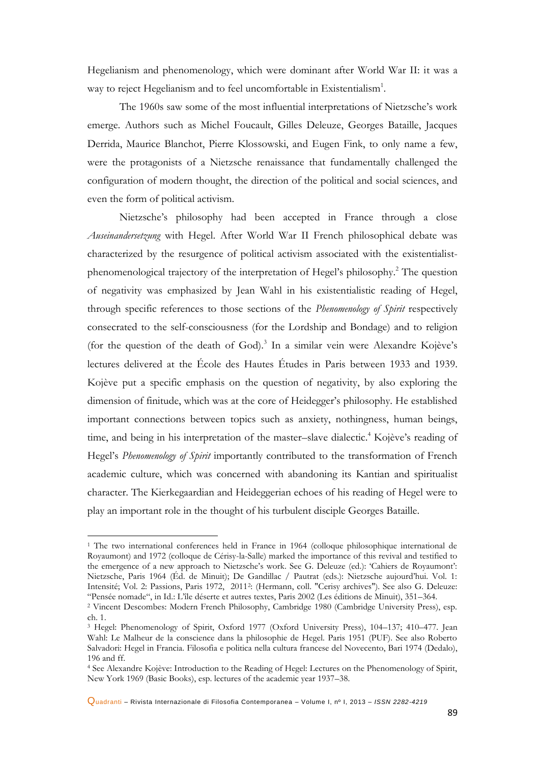Hegelianism and phenomenology, which were dominant after World War II: it was a way to reject Hegelianism and to feel uncomfortable in Existentialism<sup>1</sup>.

The 1960s saw some of the most influential interpretations of Nietzsche's work emerge. Authors such as Michel Foucault, Gilles Deleuze, Georges Bataille, Jacques Derrida, Maurice Blanchot, Pierre Klossowski, and Eugen Fink, to only name a few, were the protagonists of a Nietzsche renaissance that fundamentally challenged the configuration of modern thought, the direction of the political and social sciences, and even the form of political activism.

Nietzsche's philosophy had been accepted in France through a close *Auseinandersetzung* with Hegel. After World War II French philosophical debate was characterized by the resurgence of political activism associated with the existentialistphenomenological trajectory of the interpretation of Hegel's philosophy.<sup>2</sup> The question of negativity was emphasized by Jean Wahl in his existentialistic reading of Hegel, through specific references to those sections of the *Phenomenology of Spirit* respectively consecrated to the self-consciousness (for the Lordship and Bondage) and to religion (for the question of the death of God).<sup>3</sup> In a similar vein were Alexandre Kojève's lectures delivered at the École des Hautes Études in Paris between 1933 and 1939. Kojève put a specific emphasis on the question of negativity, by also exploring the dimension of finitude, which was at the core of Heidegger's philosophy. He established important connections between topics such as anxiety, nothingness, human beings, time, and being in his interpretation of the master–slave dialectic.<sup>4</sup> Kojève's reading of Hegel's *Phenomenology of Spirit* importantly contributed to the transformation of French academic culture, which was concerned with abandoning its Kantian and spiritualist character. The Kierkegaardian and Heideggerian echoes of his reading of Hegel were to play an important role in the thought of his turbulent disciple Georges Bataille.

1

Quadranti – Rivista Internazionale di Filosofia Contemporanea – Volume I, nº I, 2013 – *ISSN 2282-4219*

<sup>&</sup>lt;sup>1</sup> The two international conferences held in France in 1964 (colloque philosophique international de Royaumont) and 1972 (colloque de Cérisy-la-Salle) marked the importance of this revival and testified to the emergence of a new approach to Nietzsche's work. See G. Deleuze (ed.): 'Cahiers de Royaumont': Nietzsche, Paris 1964 (Éd. de Minuit); De Gandillac / Pautrat (eds.): Nietzsche aujourd'hui. Vol. 1: Intensité; Vol. 2: Passions, Paris 1972, 2011<sup>2</sup> : (Hermann, coll. "Cerisy archives"). See also G. Deleuze: "Pensée nomade", in Id.: L'île déserte et autres textes, Paris 2002 (Les éditions de Minuit), 351–364.

<sup>2</sup> Vincent Descombes: Modern French Philosophy, Cambridge 1980 (Cambridge University Press), esp. ch. 1.

<sup>3</sup> Hegel: Phenomenology of Spirit, Oxford 1977 (Oxford University Press), 104–137; 410–477. Jean Wahl: Le Malheur de la conscience dans la philosophie de Hegel. Paris 1951 (PUF). See also Roberto Salvadori: Hegel in Francia. Filosofia e politica nella cultura francese del Novecento, Bari 1974 (Dedalo), 196 and ff.

<sup>4</sup> See Alexandre Kojève: Introduction to the Reading of Hegel: Lectures on the Phenomenology of Spirit, New York 1969 (Basic Books), esp. lectures of the academic year 1937–38.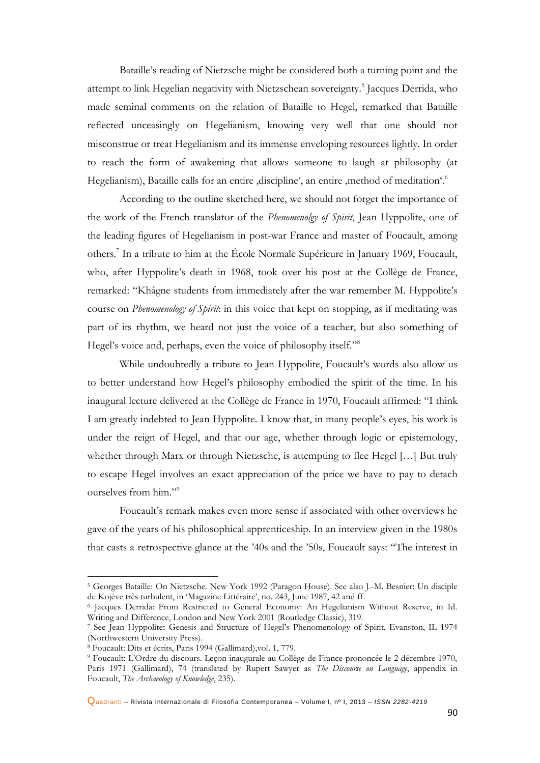Bataille's reading of Nietzsche might be considered both a turning point and the attempt to link Hegelian negativity with Nietzschean sovereignty.<sup>5</sup> Jacques Derrida, who made seminal comments on the relation of Bataille to Hegel, remarked that Bataille reflected unceasingly on Hegelianism, knowing very well that one should not misconstrue or treat Hegelianism and its immense enveloping resources lightly. In order to reach the form of awakening that allows someone to laugh at philosophy (at Hegelianism), Bataille calls for an entire  $d$  discipline', an entire  $d$  method of meditation'.<sup>6</sup>

According to the outline sketched here, we should not forget the importance of the work of the French translator of the *Phenomenolgy of Spirit*, Jean Hyppolite, one of the leading figures of Hegelianism in post-war France and master of Foucault, among others.<sup>7</sup> In a tribute to him at the École Normale Supérieure in January 1969, Foucault, who, after Hyppolite's death in 1968, took over his post at the Collège de France, remarked: "Khâgne students from immediately after the war remember M. Hyppolite's course on *Phenomenology of Spirit*: in this voice that kept on stopping, as if meditating was part of its rhythm, we heard not just the voice of a teacher, but also something of Hegel's voice and, perhaps, even the voice of philosophy itself."<sup>8</sup>

While undoubtedly a tribute to Jean Hyppolite, Foucault's words also allow us to better understand how Hegel's philosophy embodied the spirit of the time. In his inaugural lecture delivered at the Collège de France in 1970, Foucault affirmed: "I think I am greatly indebted to Jean Hyppolite. I know that, in many people's eyes, his work is under the reign of Hegel, and that our age, whether through logic or epistemology, whether through Marx or through Nietzsche, is attempting to flee Hegel […] But truly to escape Hegel involves an exact appreciation of the price we have to pay to detach ourselves from him."<sup>9</sup>

Foucault's remark makes even more sense if associated with other overviews he gave of the years of his philosophical apprenticeship. In an interview given in the 1980s that casts a retrospective glance at the '40s and the '50s, Foucault says: "The interest in

1

Quadranti – Rivista Internazionale di Filosofia Contemporanea – Volume I, nº I, 2013 – *ISSN 2282-4219*

<sup>5</sup> Georges Bataille: On Nietzsche. New York 1992 (Paragon House). See also J.-M. Besnier: Un disciple de Kojève très turbulent, in 'Magazine Littéraire', no. 243, June 1987, 42 and ff.

<sup>6</sup> Jacques Derrida: From Restricted to General Economy: An Hegelianism Without Reserve, in Id. Writing and Difference, London and New York 2001 (Routledge Classic), 319.

<sup>7</sup> See Jean Hyppolite**:** Genesis and Structure of Hegel's Phenomenology of Spirit. Evanston, IL 1974 (Northwestern University Press).

<sup>8</sup> Foucault: Dits et écrits, Paris 1994 (Gallimard),vol. 1, 779.

<sup>9</sup> Foucault: L'Ordre du discours. Leçon inaugurale au Collège de France prononcée le 2 décembre 1970, Paris 1971 (Gallimard), 74 (translated by Rupert Sawyer as *The Discourse on Language*, appendix in Foucault, *The Archaeology of Knowledge*, 235).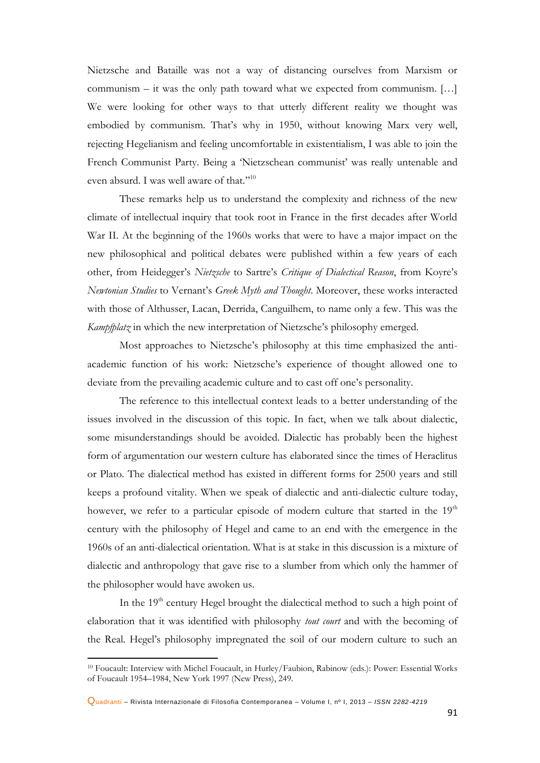Nietzsche and Bataille was not a way of distancing ourselves from Marxism or communism – it was the only path toward what we expected from communism. […] We were looking for other ways to that utterly different reality we thought was embodied by communism. That's why in 1950, without knowing Marx very well, rejecting Hegelianism and feeling uncomfortable in existentialism, I was able to join the French Communist Party. Being a 'Nietzschean communist' was really untenable and even absurd. I was well aware of that."<sup>10</sup>

These remarks help us to understand the complexity and richness of the new climate of intellectual inquiry that took root in France in the first decades after World War II. At the beginning of the 1960s works that were to have a major impact on the new philosophical and political debates were published within a few years of each other, from Heidegger's *Nietzsche* to Sartre's *Critique of Dialectical Reason*, from Koyre's *Newtonian Studies* to Vernant's *Greek Myth and Thought*. Moreover, these works interacted with those of Althusser, Lacan, Derrida, Canguilhem, to name only a few. This was the *Kampfplatz* in which the new interpretation of Nietzsche's philosophy emerged.

Most approaches to Nietzsche's philosophy at this time emphasized the antiacademic function of his work: Nietzsche's experience of thought allowed one to deviate from the prevailing academic culture and to cast off one's personality.

The reference to this intellectual context leads to a better understanding of the issues involved in the discussion of this topic. In fact, when we talk about dialectic, some misunderstandings should be avoided. Dialectic has probably been the highest form of argumentation our western culture has elaborated since the times of Heraclitus or Plato. The dialectical method has existed in different forms for 2500 years and still keeps a profound vitality. When we speak of dialectic and anti-dialectic culture today, however, we refer to a particular episode of modern culture that started in the 19<sup>th</sup> century with the philosophy of Hegel and came to an end with the emergence in the 1960s of an anti-dialectical orientation. What is at stake in this discussion is a mixture of dialectic and anthropology that gave rise to a slumber from which only the hammer of the philosopher would have awoken us.

In the  $19<sup>th</sup>$  century Hegel brought the dialectical method to such a high point of elaboration that it was identified with philosophy *tout court* and with the becoming of the Real. Hegel's philosophy impregnated the soil of our modern culture to such an

<sup>10</sup> Foucault: Interview with Michel Foucault, in Hurley/Faubion, Rabinow (eds.): Power: Essential Works of Foucault 1954–1984, New York 1997 (New Press), 249.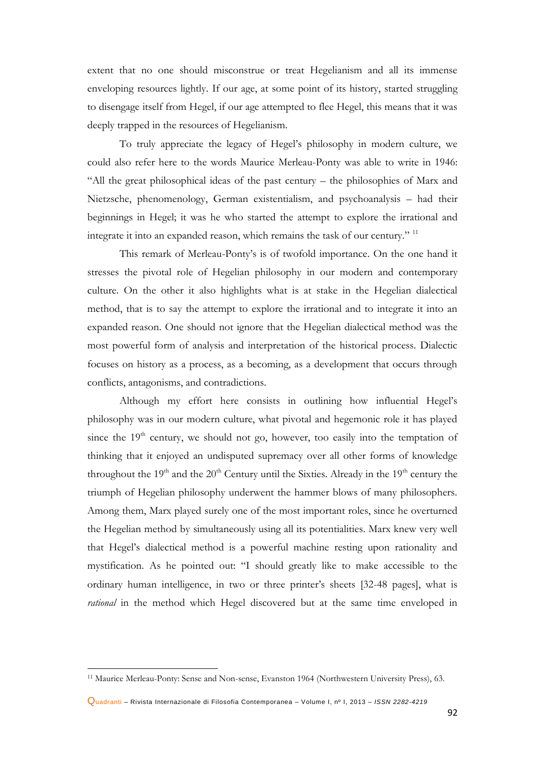extent that no one should misconstrue or treat Hegelianism and all its immense enveloping resources lightly. If our age, at some point of its history, started struggling to disengage itself from Hegel, if our age attempted to flee Hegel, this means that it was deeply trapped in the resources of Hegelianism.

To truly appreciate the legacy of Hegel's philosophy in modern culture, we could also refer here to the words Maurice Merleau-Ponty was able to write in 1946: "All the great philosophical ideas of the past century – the philosophies of Marx and Nietzsche, phenomenology, German existentialism, and psychoanalysis – had their beginnings in Hegel; it was he who started the attempt to explore the irrational and integrate it into an expanded reason, which remains the task of our century." <sup>11</sup>

This remark of Merleau-Ponty's is of twofold importance. On the one hand it stresses the pivotal role of Hegelian philosophy in our modern and contemporary culture. On the other it also highlights what is at stake in the Hegelian dialectical method, that is to say the attempt to explore the irrational and to integrate it into an expanded reason. One should not ignore that the Hegelian dialectical method was the most powerful form of analysis and interpretation of the historical process. Dialectic focuses on history as a process, as a becoming, as a development that occurs through conflicts, antagonisms, and contradictions.

Although my effort here consists in outlining how influential Hegel's philosophy was in our modern culture, what pivotal and hegemonic role it has played since the  $19<sup>th</sup>$  century, we should not go, however, too easily into the temptation of thinking that it enjoyed an undisputed supremacy over all other forms of knowledge throughout the  $19<sup>th</sup>$  and the  $20<sup>th</sup>$  Century until the Sixties. Already in the  $19<sup>th</sup>$  century the triumph of Hegelian philosophy underwent the hammer blows of many philosophers. Among them, Marx played surely one of the most important roles, since he overturned the Hegelian method by simultaneously using all its potentialities. Marx knew very well that Hegel's dialectical method is a powerful machine resting upon rationality and mystification. As he pointed out: "I should greatly like to make accessible to the ordinary human intelligence, in two or three printer's sheets [32-48 pages], what is *rational* in the method which Hegel discovered but at the same time enveloped in

<sup>11</sup> Maurice Merleau-Ponty: Sense and Non-sense, Evanston 1964 (Northwestern University Press), 63.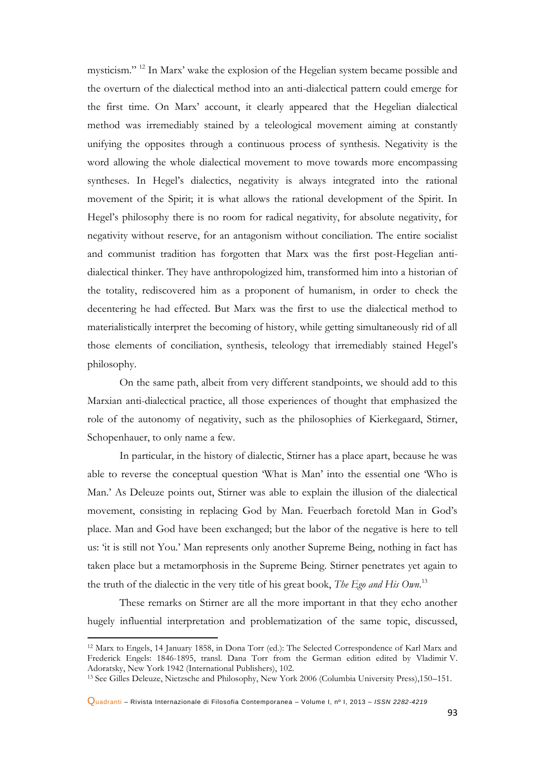mysticism."<sup>12</sup> In Marx' wake the explosion of the Hegelian system became possible and the overturn of the dialectical method into an anti-dialectical pattern could emerge for the first time. On Marx' account, it clearly appeared that the Hegelian dialectical method was irremediably stained by a teleological movement aiming at constantly unifying the opposites through a continuous process of synthesis. Negativity is the word allowing the whole dialectical movement to move towards more encompassing syntheses. In Hegel's dialectics, negativity is always integrated into the rational movement of the Spirit; it is what allows the rational development of the Spirit. In Hegel's philosophy there is no room for radical negativity, for absolute negativity, for negativity without reserve, for an antagonism without conciliation. The entire socialist and communist tradition has forgotten that Marx was the first post-Hegelian antidialectical thinker. They have anthropologized him, transformed him into a historian of the totality, rediscovered him as a proponent of humanism, in order to check the decentering he had effected. But Marx was the first to use the dialectical method to materialistically interpret the becoming of history, while getting simultaneously rid of all those elements of conciliation, synthesis, teleology that irremediably stained Hegel's philosophy.

On the same path, albeit from very different standpoints, we should add to this Marxian anti-dialectical practice, all those experiences of thought that emphasized the role of the autonomy of negativity, such as the philosophies of Kierkegaard, Stirner, Schopenhauer, to only name a few.

In particular, in the history of dialectic, Stirner has a place apart, because he was able to reverse the conceptual question 'What is Man' into the essential one 'Who is Man.' As Deleuze points out, Stirner was able to explain the illusion of the dialectical movement, consisting in replacing God by Man. Feuerbach foretold Man in God's place. Man and God have been exchanged; but the labor of the negative is here to tell us: 'it is still not You.' Man represents only another Supreme Being, nothing in fact has taken place but a metamorphosis in the Supreme Being. Stirner penetrates yet again to the truth of the dialectic in the very title of his great book, *The Ego and His Own*. 13

These remarks on Stirner are all the more important in that they echo another hugely influential interpretation and problematization of the same topic, discussed,

<sup>12</sup> Marx to Engels, 14 January 1858, in Dona Torr (ed.): The Selected Correspondence of Karl Marx and Frederick Engels: 1846-1895, transl. Dana Torr from the German edition edited by Vladimir V. Adoratsky, New York 1942 (International Publishers), 102.

<sup>13</sup> See Gilles Deleuze, Nietzsche and Philosophy, New York 2006 (Columbia University Press),150–151.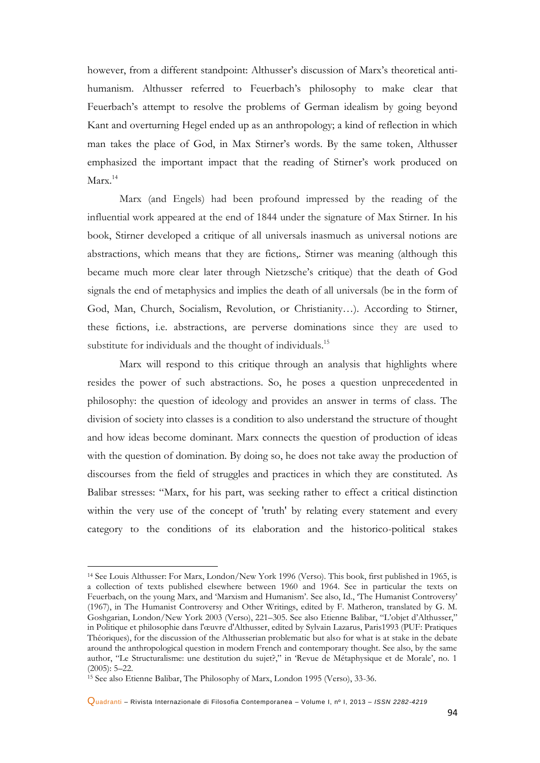however, from a different standpoint: Althusser's discussion of Marx's theoretical antihumanism. Althusser referred to Feuerbach's philosophy to make clear that Feuerbach's attempt to resolve the problems of German idealism by going beyond Kant and overturning Hegel ended up as an anthropology; a kind of reflection in which man takes the place of God, in Max Stirner's words. By the same token, Althusser emphasized the important impact that the reading of Stirner's work produced on Marx.<sup>14</sup>

Marx (and Engels) had been profound impressed by the reading of the influential work appeared at the end of 1844 under the signature of Max Stirner. In his book, Stirner developed a critique of all universals inasmuch as universal notions are abstractions, which means that they are fictions,. Stirner was meaning (although this became much more clear later through Nietzsche's critique) that the death of God signals the end of metaphysics and implies the death of all universals (be in the form of God, Man, Church, Socialism, Revolution, or Christianity…). According to Stirner, these fictions, i.e. abstractions, are perverse dominations since they are used to substitute for individuals and the thought of individuals.<sup>15</sup>

Marx will respond to this critique through an analysis that highlights where resides the power of such abstractions. So, he poses a question unprecedented in philosophy: the question of ideology and provides an answer in terms of class. The division of society into classes is a condition to also understand the structure of thought and how ideas become dominant. Marx connects the question of production of ideas with the question of domination. By doing so, he does not take away the production of discourses from the field of struggles and practices in which they are constituted. As Balibar stresses: "Marx, for his part, was seeking rather to effect a critical distinction within the very use of the concept of 'truth' by relating every statement and every category to the conditions of its elaboration and the historico-political stakes

<sup>14</sup> See Louis Althusser: For Marx, London/New York 1996 (Verso). This book, first published in 1965, is a collection of texts published elsewhere between 1960 and 1964. See in particular the texts on Feuerbach, on the young Marx, and 'Marxism and Humanism'*.* See also, Id., 'The Humanist Controversy' (1967), in The Humanist Controversy and Other Writings, edited by F. Matheron, translated by G. M. Goshgarian, London/New York 2003 (Verso), 221–305. See also Etienne Balibar, "L'objet d'Althusser," in Politique et philosophie dans l'œuvre d'Althusser, edited by Sylvain Lazarus, Paris1993 (PUF: Pratiques Théoriques), for the discussion of the Althusserian problematic but also for what is at stake in the debate around the anthropological question in modern French and contemporary thought. See also, by the same author, "Le Structuralisme: une destitution du sujet?," in 'Revue de Métaphysique et de Morale', no. 1 (2005): 5–22.

<sup>15</sup> See also Etienne Balibar, The Philosophy of Marx, London 1995 (Verso), 33-36.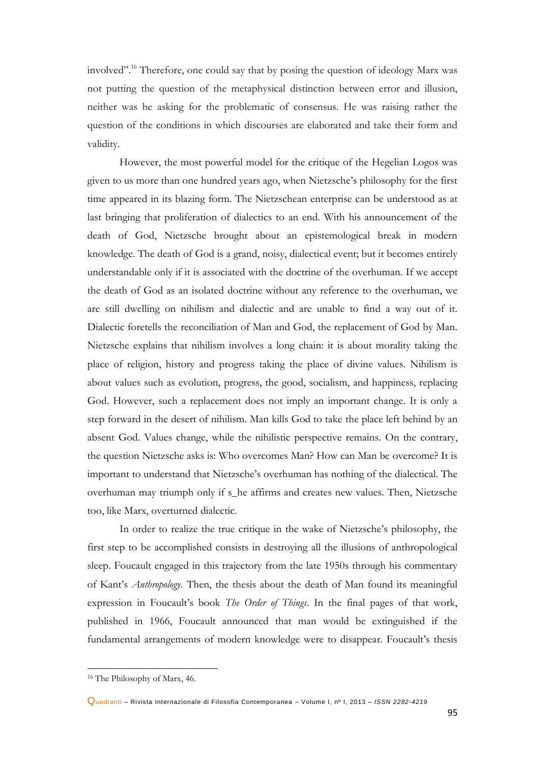involved". <sup>16</sup> Therefore, one could say that by posing the question of ideology Marx was not putting the question of the metaphysical distinction between error and illusion, neither was he asking for the problematic of consensus. He was raising rather the question of the conditions in which discourses are elaborated and take their form and validity.

However, the most powerful model for the critique of the Hegelian Logos was given to us more than one hundred years ago, when Nietzsche's philosophy for the first time appeared in its blazing form. The Nietzschean enterprise can be understood as at last bringing that proliferation of dialectics to an end. With his announcement of the death of God, Nietzsche brought about an epistemological break in modern knowledge. The death of God is a grand, noisy, dialectical event; but it becomes entirely understandable only if it is associated with the doctrine of the overhuman. If we accept the death of God as an isolated doctrine without any reference to the overhuman, we are still dwelling on nihilism and dialectic and are unable to find a way out of it. Dialectic foretells the reconciliation of Man and God, the replacement of God by Man. Nietzsche explains that nihilism involves a long chain: it is about morality taking the place of religion, history and progress taking the place of divine values. Nihilism is about values such as evolution, progress, the good, socialism, and happiness, replacing God. However, such a replacement does not imply an important change. It is only a step forward in the desert of nihilism. Man kills God to take the place left behind by an absent God. Values change, while the nihilistic perspective remains. On the contrary, the question Nietzsche asks is: Who overcomes Man? How can Man be overcome? It is important to understand that Nietzsche's overhuman has nothing of the dialectical. The overhuman may triumph only if s\_he affirms and creates new values. Then, Nietzsche too, like Marx, overturned dialectic.

In order to realize the true critique in the wake of Nietzsche's philosophy, the first step to be accomplished consists in destroying all the illusions of anthropological sleep. Foucault engaged in this trajectory from the late 1950s through his commentary of Kant's *Anthropology*. Then, the thesis about the death of Man found its meaningful expression in Foucault's book *The Order of Things*. In the final pages of that work, published in 1966, Foucault announced that man would be extinguished if the fundamental arrangements of modern knowledge were to disappear. Foucault's thesis

<sup>16</sup> The Philosophy of Marx, 46.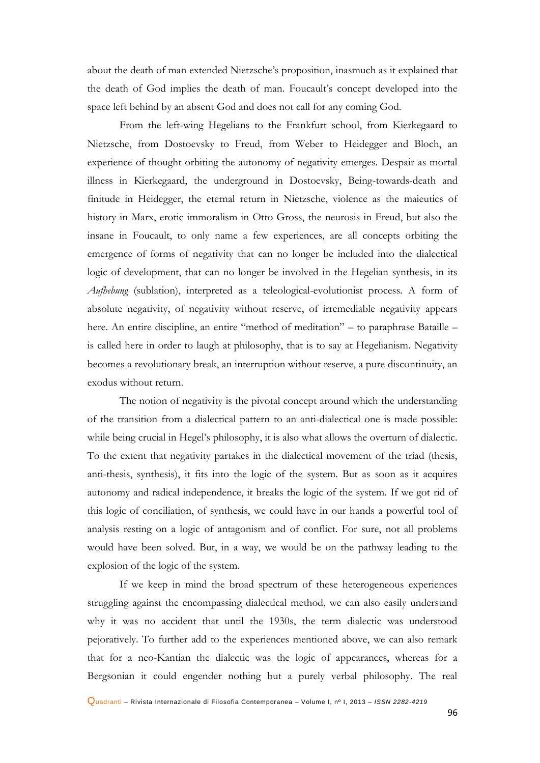about the death of man extended Nietzsche's proposition, inasmuch as it explained that the death of God implies the death of man. Foucault's concept developed into the space left behind by an absent God and does not call for any coming God.

From the left-wing Hegelians to the Frankfurt school, from Kierkegaard to Nietzsche, from Dostoevsky to Freud, from Weber to Heidegger and Bloch, an experience of thought orbiting the autonomy of negativity emerges. Despair as mortal illness in Kierkegaard, the underground in Dostoevsky, Being-towards-death and finitude in Heidegger, the eternal return in Nietzsche, violence as the maieutics of history in Marx, erotic immoralism in Otto Gross, the neurosis in Freud, but also the insane in Foucault, to only name a few experiences, are all concepts orbiting the emergence of forms of negativity that can no longer be included into the dialectical logic of development, that can no longer be involved in the Hegelian synthesis, in its *Aufhebung* (sublation), interpreted as a teleological-evolutionist process. A form of absolute negativity, of negativity without reserve, of irremediable negativity appears here. An entire discipline, an entire "method of meditation" – to paraphrase Bataille – is called here in order to laugh at philosophy, that is to say at Hegelianism. Negativity becomes a revolutionary break, an interruption without reserve, a pure discontinuity, an exodus without return.

The notion of negativity is the pivotal concept around which the understanding of the transition from a dialectical pattern to an anti-dialectical one is made possible: while being crucial in Hegel's philosophy, it is also what allows the overturn of dialectic. To the extent that negativity partakes in the dialectical movement of the triad (thesis, anti-thesis, synthesis), it fits into the logic of the system. But as soon as it acquires autonomy and radical independence, it breaks the logic of the system. If we got rid of this logic of conciliation, of synthesis, we could have in our hands a powerful tool of analysis resting on a logic of antagonism and of conflict. For sure, not all problems would have been solved. But, in a way, we would be on the pathway leading to the explosion of the logic of the system.

If we keep in mind the broad spectrum of these heterogeneous experiences struggling against the encompassing dialectical method, we can also easily understand why it was no accident that until the 1930s, the term dialectic was understood pejoratively. To further add to the experiences mentioned above, we can also remark that for a neo-Kantian the dialectic was the logic of appearances, whereas for a Bergsonian it could engender nothing but a purely verbal philosophy. The real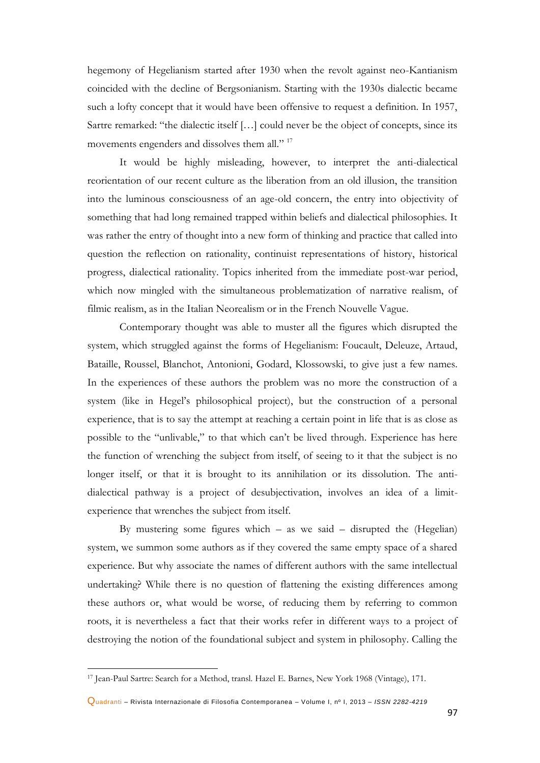hegemony of Hegelianism started after 1930 when the revolt against neo-Kantianism coincided with the decline of Bergsonianism. Starting with the 1930s dialectic became such a lofty concept that it would have been offensive to request a definition. In 1957, Sartre remarked: "the dialectic itself […] could never be the object of concepts, since its movements engenders and dissolves them all."<sup>17</sup>

It would be highly misleading, however, to interpret the anti-dialectical reorientation of our recent culture as the liberation from an old illusion, the transition into the luminous consciousness of an age-old concern, the entry into objectivity of something that had long remained trapped within beliefs and dialectical philosophies. It was rather the entry of thought into a new form of thinking and practice that called into question the reflection on rationality, continuist representations of history, historical progress, dialectical rationality. Topics inherited from the immediate post-war period, which now mingled with the simultaneous problematization of narrative realism, of filmic realism, as in the Italian Neorealism or in the French Nouvelle Vague.

Contemporary thought was able to muster all the figures which disrupted the system, which struggled against the forms of Hegelianism: Foucault, Deleuze, Artaud, Bataille, Roussel, Blanchot, Antonioni, Godard, Klossowski, to give just a few names. In the experiences of these authors the problem was no more the construction of a system (like in Hegel's philosophical project), but the construction of a personal experience, that is to say the attempt at reaching a certain point in life that is as close as possible to the "unlivable," to that which can't be lived through. Experience has here the function of wrenching the subject from itself, of seeing to it that the subject is no longer itself, or that it is brought to its annihilation or its dissolution. The antidialectical pathway is a project of desubjectivation, involves an idea of a limitexperience that wrenches the subject from itself.

By mustering some figures which  $-$  as we said  $-$  disrupted the (Hegelian) system, we summon some authors as if they covered the same empty space of a shared experience. But why associate the names of different authors with the same intellectual undertaking? While there is no question of flattening the existing differences among these authors or, what would be worse, of reducing them by referring to common roots, it is nevertheless a fact that their works refer in different ways to a project of destroying the notion of the foundational subject and system in philosophy. Calling the

<sup>17</sup> Jean-Paul Sartre: Search for a Method, transl. Hazel E. Barnes, New York 1968 (Vintage), 171.